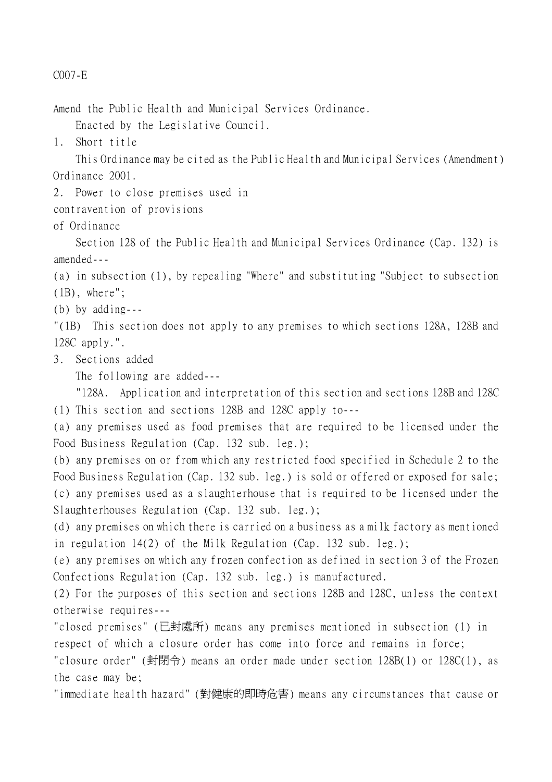## C007-E

Amend the Public Health and Municipal Services Ordinance.

Enacted by the Legislative Council.

1. Short title

This Ordinance may be cited as the Public Health and Municipal Services (Amendment) Ordinance 2001.

2. Power to close premises used in

contravention of provisions

of Ordinance

Section 128 of the Public Health and Municipal Services Ordinance (Cap. 132) is amended---

(a) in subsection (1), by repealing "Where" and substituting "Subject to subsection (1B), where";

(b) by adding---

"(1B) This section does not apply to any premises to which sections 128A, 128B and 128C apply.".

3. Sections added

The following are added---

"128A. Application and interpretation of this section and sections 128B and 128C (1) This section and sections 128B and 128C apply to---

(a) any premises used as food premises that are required to be licensed under the Food Business Regulation (Cap. 132 sub. leg.);

(b) any premises on or from which any restricted food specified in Schedule 2 to the Food Business Regulation (Cap. 132 sub. leg.) is sold or offered or exposed for sale; (c) any premises used as a slaughterhouse that is required to be licensed under the Slaughterhouses Regulation (Cap. 132 sub. leg.);

(d) any premises on which there is carried on a business as a milk factory as mentioned in regulation 14(2) of the Milk Regulation (Cap. 132 sub. leg.);

(e) any premises on which any frozen confection as defined in section 3 of the Frozen Confections Regulation (Cap. 132 sub. leg.) is manufactured.

(2) For the purposes of this section and sections 128B and 128C, unless the context otherwise requires---

"closed premises" (已封處所) means any premises mentioned in subsection (1) in respect of which a closure order has come into force and remains in force; "closure order" (封閉令) means an order made under section 128B(1) or 128C(1), as

the case may be;

"immediate health hazard" (對健康的即時危害) means any circumstances that cause or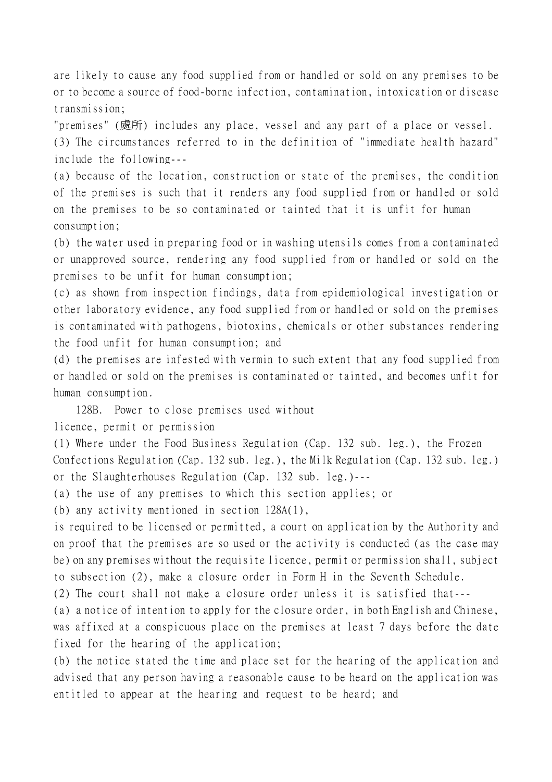are likely to cause any food supplied from or handled or sold on any premises to be or to become a source of food-borne infection, contamination, intoxication or disease transmission;

"premises" (處所) includes any place, vessel and any part of a place or vessel.

(3) The circumstances referred to in the definition of "immediate health hazard" include the following---

(a) because of the location, construction or state of the premises, the condition of the premises is such that it renders any food supplied from or handled or sold on the premises to be so contaminated or tainted that it is unfit for human consumption;

(b) the water used in preparing food or in washing utensils comes from a contaminated or unapproved source, rendering any food supplied from or handled or sold on the premises to be unfit for human consumption;

(c) as shown from inspection findings, data from epidemiological investigation or other laboratory evidence, any food supplied from or handled or sold on the premises is contaminated with pathogens, biotoxins, chemicals or other substances rendering the food unfit for human consumption; and

(d) the premises are infested with vermin to such extent that any food supplied from or handled or sold on the premises is contaminated or tainted, and becomes unfit for human consumption.

128B. Power to close premises used without

licence, permit or permission

(1) Where under the Food Business Regulation (Cap. 132 sub. leg.), the Frozen Confections Regulation (Cap. 132 sub. leg.), the Milk Regulation (Cap. 132 sub. leg.) or the Slaughterhouses Regulation (Cap. 132 sub. leg.)---

(a) the use of any premises to which this section applies; or

(b) any activity mentioned in section 128A(1),

is required to be licensed or permitted, a court on application by the Authority and on proof that the premises are so used or the activity is conducted (as the case may be) on any premises without the requisite licence, permit or permission shall, subject to subsection (2), make a closure order in Form H in the Seventh Schedule.

(2) The court shall not make a closure order unless it is satisfied that---

(a) a notice of intention to apply for the closure order, in both English and Chinese, was affixed at a conspicuous place on the premises at least 7 days before the date fixed for the hearing of the application;

(b) the notice stated the time and place set for the hearing of the application and advised that any person having a reasonable cause to be heard on the application was entitled to appear at the hearing and request to be heard; and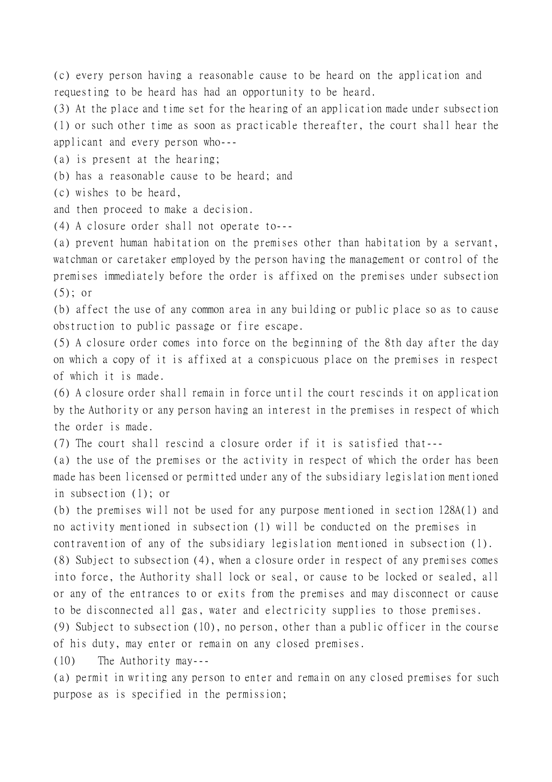(c) every person having a reasonable cause to be heard on the application and requesting to be heard has had an opportunity to be heard.

(3) At the place and time set for the hearing of an application made under subsection (1) or such other time as soon as practicable thereafter, the court shall hear the applicant and every person who---

(a) is present at the hearing;

(b) has a reasonable cause to be heard; and

(c) wishes to be heard,

and then proceed to make a decision.

(4) A closure order shall not operate to---

(a) prevent human habitation on the premises other than habitation by a servant, watchman or caretaker employed by the person having the management or control of the premises immediately before the order is affixed on the premises under subsection  $(5)$ ; or

(b) affect the use of any common area in any building or public place so as to cause obstruction to public passage or fire escape.

(5) A closure order comes into force on the beginning of the 8th day after the day on which a copy of it is affixed at a conspicuous place on the premises in respect of which it is made.

(6) A closure order shall remain in force until the court rescinds it on application by the Authority or any person having an interest in the premises in respect of which the order is made.

(7) The court shall rescind a closure order if it is satisfied that---

(a) the use of the premises or the activity in respect of which the order has been made has been licensed or permitted under any of the subsidiary legislation mentioned in subsection (1); or

(b) the premises will not be used for any purpose mentioned in section 128A(1) and no activity mentioned in subsection (1) will be conducted on the premises in contravention of any of the subsidiary legislation mentioned in subsection (1).

(8) Subject to subsection (4), when a closure order in respect of any premises comes into force, the Authority shall lock or seal, or cause to be locked or sealed, all or any of the entrances to or exits from the premises and may disconnect or cause to be disconnected all gas, water and electricity supplies to those premises.

(9) Subject to subsection (10), no person, other than a public officer in the course of his duty, may enter or remain on any closed premises.

(10) The Authority may---

(a) permit in writing any person to enter and remain on any closed premises for such purpose as is specified in the permission;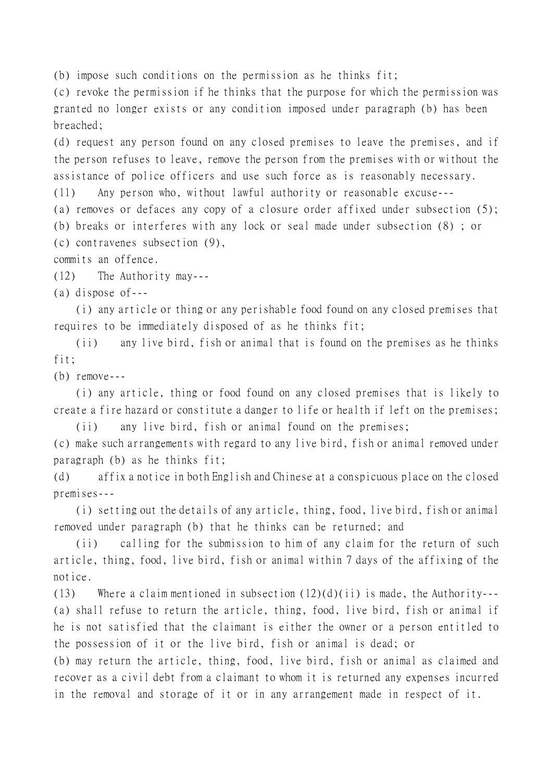(b) impose such conditions on the permission as he thinks fit;

(c) revoke the permission if he thinks that the purpose for which the permission was granted no longer exists or any condition imposed under paragraph (b) has been breached;

(d) request any person found on any closed premises to leave the premises, and if the person refuses to leave, remove the person from the premises with or without the assistance of police officers and use such force as is reasonably necessary.

(11) Any person who, without lawful authority or reasonable excuse---

(a) removes or defaces any copy of a closure order affixed under subsection (5);

(b) breaks or interferes with any lock or seal made under subsection (8) ; or

(c) contravenes subsection (9),

commits an offence.

(12) The Authority may---

(a) dispose of---

(i) any article or thing or any perishable food found on any closed premises that requires to be immediately disposed of as he thinks fit;

(ii) any live bird, fish or animal that is found on the premises as he thinks fit;

(b) remove---

(i) any article, thing or food found on any closed premises that is likely to create a fire hazard or constitute a danger to life or health if left on the premises;

(ii) any live bird, fish or animal found on the premises;

(c) make such arrangements with regard to any live bird, fish or animal removed under paragraph (b) as he thinks fit;

(d) affix a notice in both English and Chinese at a conspicuous place on the closed premises---

(i) setting out the details of any article, thing, food, live bird, fish or animal removed under paragraph (b) that he thinks can be returned; and

(ii) calling for the submission to him of any claim for the return of such article, thing, food, live bird, fish or animal within 7 days of the affixing of the notice.

(13) Where a claim mentioned in subsection  $(12)(d)(ii)$  is made, the Authority---(a) shall refuse to return the article, thing, food, live bird, fish or animal if he is not satisfied that the claimant is either the owner or a person entitled to the possession of it or the live bird, fish or animal is dead; or

(b) may return the article, thing, food, live bird, fish or animal as claimed and recover as a civil debt from a claimant to whom it is returned any expenses incurred in the removal and storage of it or in any arrangement made in respect of it.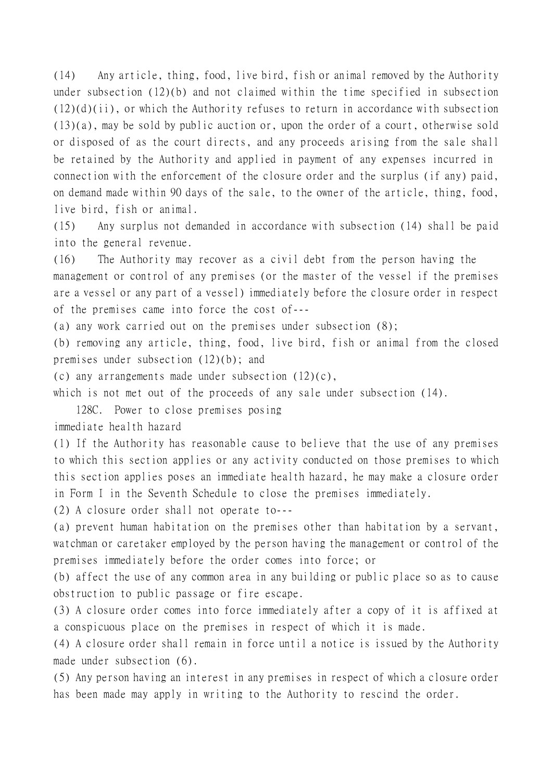(14) Any article, thing, food, live bird, fish or animal removed by the Authority under subsection (12)(b) and not claimed within the time specified in subsection  $(12)(d)(ii)$ , or which the Authority refuses to return in accordance with subsection (13)(a), may be sold by public auction or, upon the order of a court, otherwise sold or disposed of as the court directs, and any proceeds arising from the sale shall be retained by the Authority and applied in payment of any expenses incurred in connection with the enforcement of the closure order and the surplus (if any) paid, on demand made within 90 days of the sale, to the owner of the article, thing, food, live bird, fish or animal.

(15) Any surplus not demanded in accordance with subsection (14) shall be paid into the general revenue.

(16) The Authority may recover as a civil debt from the person having the management or control of any premises (or the master of the vessel if the premises are a vessel or any part of a vessel) immediately before the closure order in respect of the premises came into force the cost of---

(a) any work carried out on the premises under subsection (8);

(b) removing any article, thing, food, live bird, fish or animal from the closed premises under subsection (12)(b); and

(c) any arrangements made under subsection (12)(c),

which is not met out of the proceeds of any sale under subsection (14).

128C. Power to close premises posing

immediate health hazard

(1) If the Authority has reasonable cause to believe that the use of any premises to which this section applies or any activity conducted on those premises to which this section applies poses an immediate health hazard, he may make a closure order in Form I in the Seventh Schedule to close the premises immediately.

(2) A closure order shall not operate to---

(a) prevent human habitation on the premises other than habitation by a servant, watchman or caretaker employed by the person having the management or control of the premises immediately before the order comes into force; or

(b) affect the use of any common area in any building or public place so as to cause obstruction to public passage or fire escape.

(3) A closure order comes into force immediately after a copy of it is affixed at a conspicuous place on the premises in respect of which it is made.

(4) A closure order shall remain in force until a notice is issued by the Authority made under subsection (6).

(5) Any person having an interest in any premises in respect of which a closure order has been made may apply in writing to the Authority to rescind the order.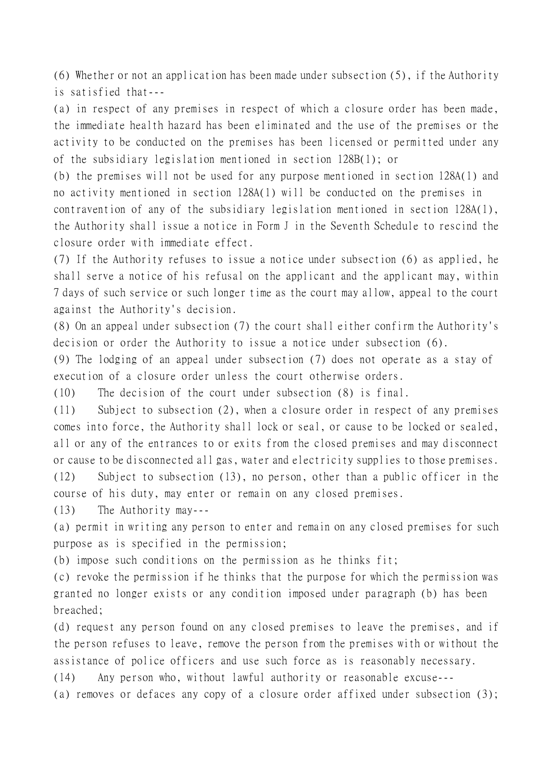(6) Whether or not an application has been made under subsection (5), if the Authority is satisfied that---

(a) in respect of any premises in respect of which a closure order has been made, the immediate health hazard has been eliminated and the use of the premises or the activity to be conducted on the premises has been licensed or permitted under any of the subsidiary legislation mentioned in section 128B(1); or

(b) the premises will not be used for any purpose mentioned in section 128A(1) and no activity mentioned in section 128A(1) will be conducted on the premises in

contravention of any of the subsidiary legislation mentioned in section 128A(1), the Authority shall issue a notice in Form J in the Seventh Schedule to rescind the closure order with immediate effect.

(7) If the Authority refuses to issue a notice under subsection (6) as applied, he shall serve a notice of his refusal on the applicant and the applicant may, within 7 days of such service or such longer time as the court may allow, appeal to the court against the Authority's decision.

(8) On an appeal under subsection (7) the court shall either confirm the Authority's decision or order the Authority to issue a notice under subsection (6).

(9) The lodging of an appeal under subsection (7) does not operate as a stay of execution of a closure order unless the court otherwise orders.

(10) The decision of the court under subsection (8) is final.

(11) Subject to subsection (2), when a closure order in respect of any premises comes into force, the Authority shall lock or seal, or cause to be locked or sealed, all or any of the entrances to or exits from the closed premises and may disconnect or cause to be disconnected all gas, water and electricity supplies to those premises.

(12) Subject to subsection (13), no person, other than a public officer in the course of his duty, may enter or remain on any closed premises.

(13) The Authority may---

(a) permit in writing any person to enter and remain on any closed premises for such purpose as is specified in the permission;

(b) impose such conditions on the permission as he thinks fit;

(c) revoke the permission if he thinks that the purpose for which the permission was granted no longer exists or any condition imposed under paragraph (b) has been breached;

(d) request any person found on any closed premises to leave the premises, and if the person refuses to leave, remove the person from the premises with or without the assistance of police officers and use such force as is reasonably necessary.

(14) Any person who, without lawful authority or reasonable excuse---

(a) removes or defaces any copy of a closure order affixed under subsection (3);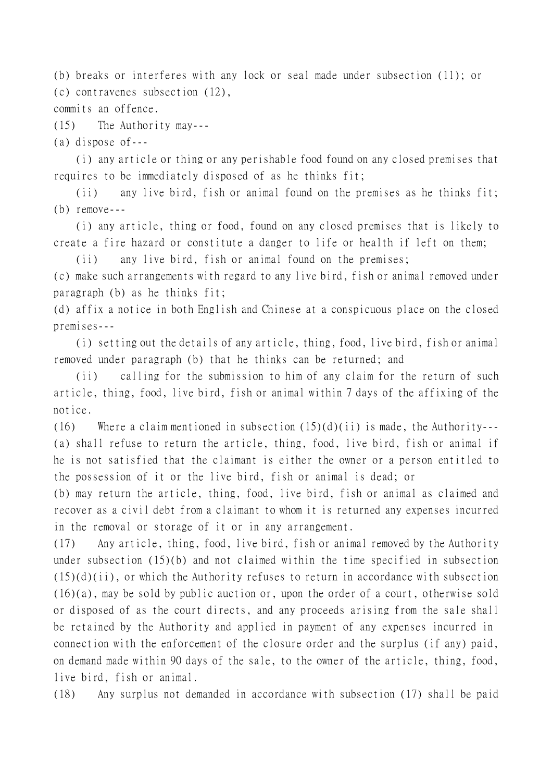(b) breaks or interferes with any lock or seal made under subsection (11); or (c) contravenes subsection (12),

commits an offence.

(15) The Authority may---

(a) dispose of---

(i) any article or thing or any perishable food found on any closed premises that requires to be immediately disposed of as he thinks fit;

(ii) any live bird, fish or animal found on the premises as he thinks fit; (b) remove---

(i) any article, thing or food, found on any closed premises that is likely to create a fire hazard or constitute a danger to life or health if left on them;

(ii) any live bird, fish or animal found on the premises;

(c) make such arrangements with regard to any live bird, fish or animal removed under paragraph (b) as he thinks fit;

(d) affix a notice in both English and Chinese at a conspicuous place on the closed premises---

(i) setting out the details of any article, thing, food, live bird, fish or animal removed under paragraph (b) that he thinks can be returned; and

(ii) calling for the submission to him of any claim for the return of such article, thing, food, live bird, fish or animal within 7 days of the affixing of the notice.

(16) Where a claim mentioned in subsection  $(15)(d)(ii)$  is made, the Authority---(a) shall refuse to return the article, thing, food, live bird, fish or animal if he is not satisfied that the claimant is either the owner or a person entitled to the possession of it or the live bird, fish or animal is dead; or

(b) may return the article, thing, food, live bird, fish or animal as claimed and recover as a civil debt from a claimant to whom it is returned any expenses incurred in the removal or storage of it or in any arrangement.

(17) Any article, thing, food, live bird, fish or animal removed by the Authority under subsection (15)(b) and not claimed within the time specified in subsection  $(15)(d)(ii)$ , or which the Authority refuses to return in accordance with subsection (16)(a), may be sold by public auction or, upon the order of a court, otherwise sold or disposed of as the court directs, and any proceeds arising from the sale shall be retained by the Authority and applied in payment of any expenses incurred in connection with the enforcement of the closure order and the surplus (if any) paid, on demand made within 90 days of the sale, to the owner of the article, thing, food, live bird, fish or animal.

(18) Any surplus not demanded in accordance with subsection (17) shall be paid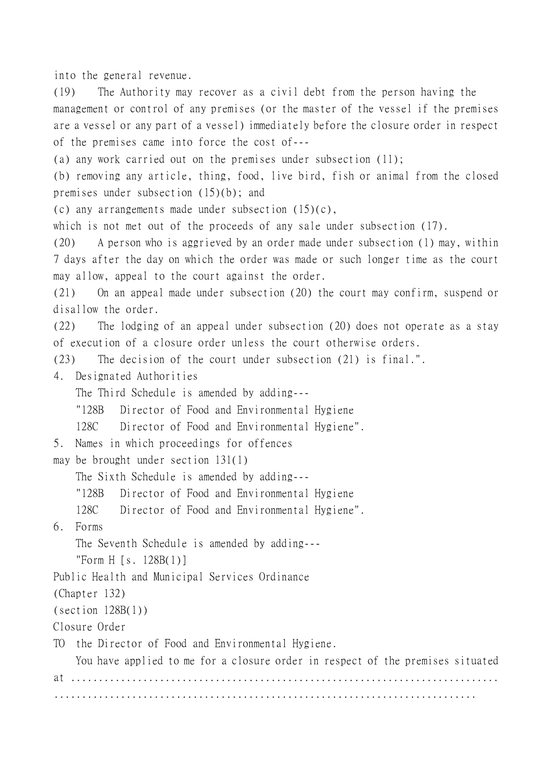into the general revenue.

(19) The Authority may recover as a civil debt from the person having the management or control of any premises (or the master of the vessel if the premises are a vessel or any part of a vessel) immediately before the closure order in respect of the premises came into force the cost of---

(a) any work carried out on the premises under subsection (11);

(b) removing any article, thing, food, live bird, fish or animal from the closed premises under subsection (15)(b); and

(c) any arrangements made under subsection  $(15)(c)$ ,

which is not met out of the proceeds of any sale under subsection (17).

(20) A person who is aggrieved by an order made under subsection (1) may, within 7 days after the day on which the order was made or such longer time as the court may allow, appeal to the court against the order.

(21) On an appeal made under subsection (20) the court may confirm, suspend or disallow the order.

(22) The lodging of an appeal under subsection (20) does not operate as a stay of execution of a closure order unless the court otherwise orders.

(23) The decision of the court under subsection (21) is final.".

4. Designated Authorities

The Third Schedule is amended by adding---

"128B Director of Food and Environmental Hygiene

128C Director of Food and Environmental Hygiene".

```
5. Names in which proceedings for offences
```
may be brought under section 131(1)

The Sixth Schedule is amended by adding---

"128B Director of Food and Environmental Hygiene

128C Director of Food and Environmental Hygiene".

6. Forms

The Seventh Schedule is amended by adding---

"Form H [s. 128B(1)]

Public Health and Municipal Services Ordinance

(Chapter 132)

 $(\text{section } 128B(1))$ 

Closure Order

TO the Director of Food and Environmental Hygiene.

You have applied to me for a closure order in respect of the premises situated at ............................................................................. ............................................................................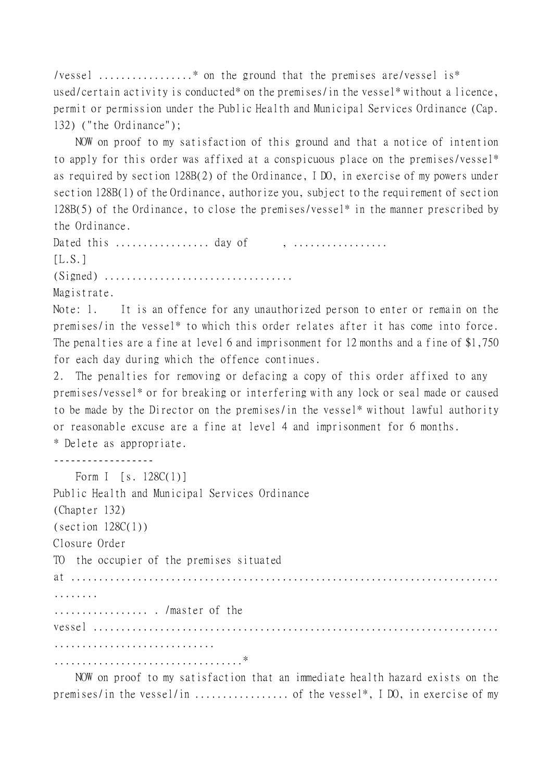/vessel .................\* on the ground that the premises are/vessel is\* used/certain activity is conducted\* on the premises/in the vessel\* without a licence, permit or permission under the Public Health and Municipal Services Ordinance (Cap. 132) ("the Ordinance");

NOW on proof to my satisfaction of this ground and that a notice of intention to apply for this order was affixed at a conspicuous place on the premises/vessel\* as required by section 128B(2) of the Ordinance, I DO, in exercise of my powers under section 128B(1) of the Ordinance, authorize you, subject to the requirement of section 128B(5) of the Ordinance, to close the premises/vessel\* in the manner prescribed by the Ordinance.

Dated this ................. day of , ................. [L.S.] (Signed) ..................................

Magistrate.

Note: 1. It is an offence for any unauthorized person to enter or remain on the premises/in the vessel\* to which this order relates after it has come into force. The penalties are a fine at level 6 and imprisonment for 12 months and a fine of \$1,750 for each day during which the offence continues.

2. The penalties for removing or defacing a copy of this order affixed to any premises/vessel\* or for breaking or interfering with any lock or seal made or caused to be made by the Director on the premises/in the vessel\* without lawful authority or reasonable excuse are a fine at level 4 and imprisonment for 6 months. \* Delete as appropriate.

------------------

| Form I [s. $128C(1)$ ]                         |
|------------------------------------------------|
| Public Health and Municipal Services Ordinance |
| (Chapter 132)                                  |
| $\text{(section 128C(1))}$                     |
| Closure Order                                  |
| TO the occupier of the premises situated       |
|                                                |
| .                                              |
| / master of the                                |
|                                                |
|                                                |
|                                                |

NOW on proof to my satisfaction that an immediate health hazard exists on the premises/in the vessel/in ................. of the vessel\*, I DO, in exercise of my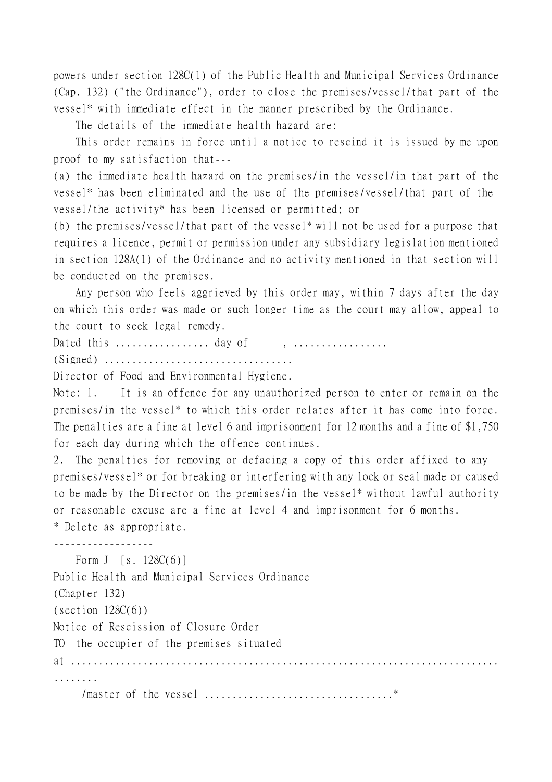powers under section 128C(1) of the Public Health and Municipal Services Ordinance (Cap. 132) ("the Ordinance"), order to close the premises/vessel/that part of the vessel\* with immediate effect in the manner prescribed by the Ordinance.

The details of the immediate health hazard are:

This order remains in force until a notice to rescind it is issued by me upon proof to my satisfaction that---

(a) the immediate health hazard on the premises/in the vessel/in that part of the vessel\* has been eliminated and the use of the premises/vessel/that part of the vessel/the activity\* has been licensed or permitted; or

(b) the premises/vessel/that part of the vessel\* will not be used for a purpose that requires a licence, permit or permission under any subsidiary legislation mentioned in section 128A(1) of the Ordinance and no activity mentioned in that section will be conducted on the premises.

Any person who feels aggrieved by this order may, within 7 days after the day on which this order was made or such longer time as the court may allow, appeal to the court to seek legal remedy.

Dated this  $\dots\dots\dots\dots\dots$  day of ,  $\dots\dots\dots\dots\dots$ 

(Signed) ..................................

Director of Food and Environmental Hygiene.

Note: 1. It is an offence for any unauthorized person to enter or remain on the premises/in the vessel\* to which this order relates after it has come into force. The penalties are a fine at level 6 and imprisonment for 12 months and a fine of \$1,750 for each day during which the offence continues.

2. The penalties for removing or defacing a copy of this order affixed to any premises/vessel\* or for breaking or interfering with any lock or seal made or caused to be made by the Director on the premises/in the vessel\* without lawful authority or reasonable excuse are a fine at level 4 and imprisonment for 6 months. \* Delete as appropriate.

------------------

Form J [s. 128C(6)] Public Health and Municipal Services Ordinance (Chapter 132)  $(section 128C(6))$ Notice of Rescission of Closure Order TO the occupier of the premises situated at ............................................................................. ........

/master of the vessel ..................................\*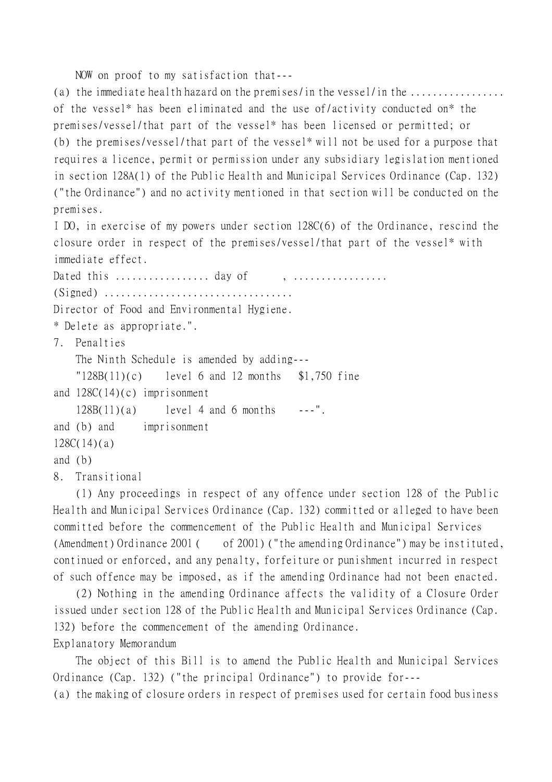NOW on proof to my satisfaction that---

(a) the immediate health hazard on the premises/in the vessel/in the .................. of the vessel\* has been eliminated and the use of/activity conducted on\* the premises/vessel/that part of the vessel\* has been licensed or permitted; or (b) the premises/vessel/that part of the vessel\* will not be used for a purpose that requires a licence, permit or permission under any subsidiary legislation mentioned in section 128A(1) of the Public Health and Municipal Services Ordinance (Cap. 132) ("the Ordinance") and no activity mentioned in that section will be conducted on the premises.

I DO, in exercise of my powers under section 128C(6) of the Ordinance, rescind the closure order in respect of the premises/vessel/that part of the vessel\* with immediate effect.

Dated this  $\dots\dots\dots\dots\dots\dots$  day of (Signed) .................................. Director of Food and Environmental Hygiene. \* Delete as appropriate.". 7. Penalties The Ninth Schedule is amended by adding---  $"128B(11)(c)$  level 6 and 12 months \$1,750 fine and  $128C(14)(c)$  imprisonment  $128B(11)(a)$  level 4 and 6 months ---". and (b) and imprisonment 128C(14)(a) and (b) 8. Transitional

(1) Any proceedings in respect of any offence under section 128 of the Public Health and Municipal Services Ordinance (Cap. 132) committed or alleged to have been committed before the commencement of the Public Health and Municipal Services (Amendment) Ordinance 2001 ( of 2001) ("the amending Ordinance") may be instituted, continued or enforced, and any penalty, forfeiture or punishment incurred in respect of such offence may be imposed, as if the amending Ordinance had not been enacted.

(2) Nothing in the amending Ordinance affects the validity of a Closure Order issued under section 128 of the Public Health and Municipal Services Ordinance (Cap. 132) before the commencement of the amending Ordinance. Explanatory Memorandum

The object of this Bill is to amend the Public Health and Municipal Services Ordinance (Cap. 132) ("the principal Ordinance") to provide for--- (a) the making of closure orders in respect of premises used for certain food business